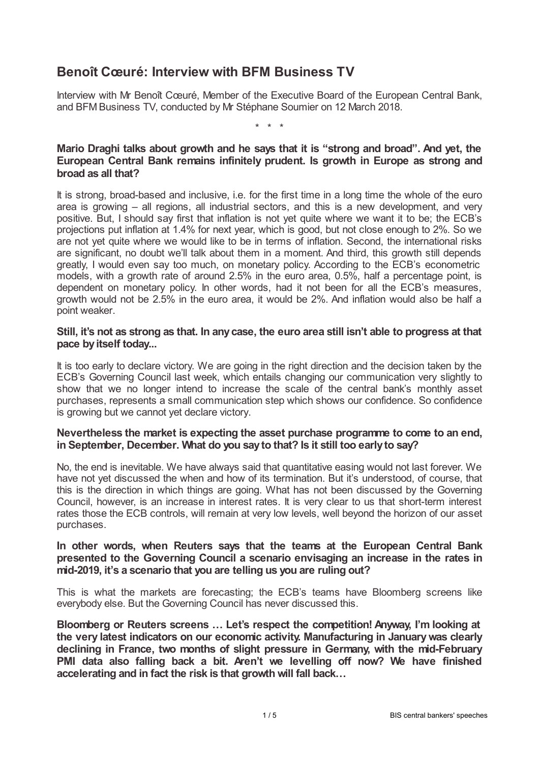# **Benoît Cœuré: Interview with BFM Business TV**

Interview with Mr Benoît Cœuré, Member of the Executive Board of the European Central Bank, and BFM Business TV, conducted by Mr Stéphane Soumier on 12 March 2018.

\* \* \*

# **Mario Draghi talks about growth and he says that it is "strong and broad". And yet, the European Central Bank remains infinitely prudent. Is growth in Europe as strong and broad as all that?**

It is strong, broad-based and inclusive, i.e. for the first time in a long time the whole of the euro area is growing – all regions, all industrial sectors, and this is a new development, and very positive. But, I should say first that inflation is not yet quite where we want it to be; the ECB's projections put inflation at 1.4% for next year, which is good, but not close enough to 2%. So we are not yet quite where we would like to be in terms of inflation. Second, the international risks are significant, no doubt we'll talk about them in a moment. And third, this growth still depends greatly, I would even say too much, on monetary policy. According to the ECB's econometric models, with a growth rate of around 2.5% in the euro area, 0.5%, half a percentage point, is dependent on monetary policy. In other words, had it not been for all the ECB's measures, growth would not be 2.5% in the euro area, it would be 2%. And inflation would also be half a point weaker.

#### Still, it's not as strong as that. In any case, the euro area still isn't able to progress at that **pace byitself today...**

It is too early to declare victory. We are going in the right direction and the decision taken by the ECB's Governing Council last week, which entails changing our communication very slightly to show that we no longer intend to increase the scale of the central bank's monthly asset purchases, represents a small communication step which shows our confidence. So confidence is growing but we cannot yet declare victory.

# **Nevertheless the market is expecting the asset purchase programme to come to an end, in September, December. What do you sayto that? Is it still too earlyto say?**

No, the end is inevitable. We have always said that quantitative easing would not last forever. We have not yet discussed the when and how of its termination. But it's understood, of course, that this is the direction in which things are going. What has not been discussed by the Governing Council, however, is an increase in interest rates. It is very clear to us that short-term interest rates those the ECB controls, will remain at very low levels, well beyond the horizon of our asset purchases.

## **In other words, when Reuters says that the teams at the European Central Bank presented to the Governing Council a scenario envisaging an increase in the rates in mid-2019, it's a scenario that you are telling us you are ruling out?**

This is what the markets are forecasting; the ECB's teams have Bloomberg screens like everybody else. But the Governing Council has never discussed this.

**Bloomberg or Reuters screens … Let's respect the competition! Anyway, I'm looking at the very latest indicators on our economic activity. Manufacturing in Januarywas clearly declining in France, two months of slight pressure in Germany, with the mid-February PMI data also falling back a bit. Aren't we levelling off now? We have finished accelerating and in fact the risk is that growth will fall back…**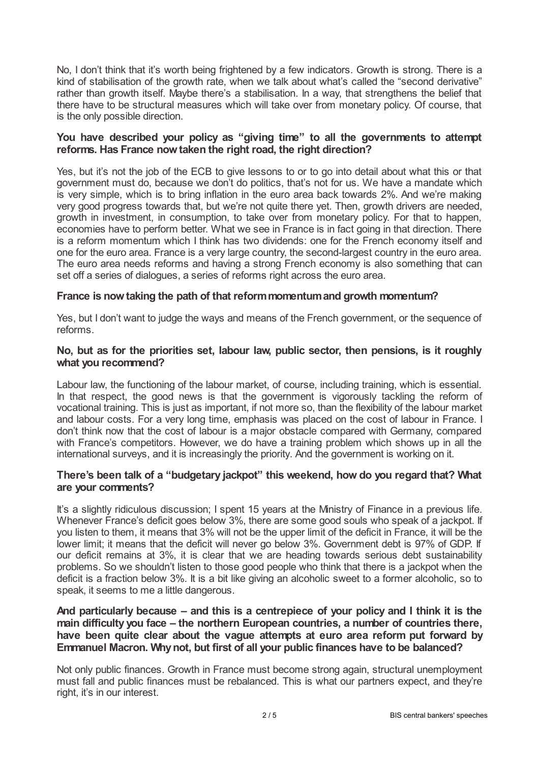No, I don't think that it's worth being frightened by a few indicators. Growth is strong. There is a kind of stabilisation of the growth rate, when we talk about what's called the "second derivative" rather than growth itself. Maybe there's a stabilisation. In a way, that strengthens the belief that there have to be structural measures which will take over from monetary policy. Of course, that is the only possible direction.

# **You have described your policy as "giving time" to all the governments to attempt reforms. Has France nowtaken the right road, the right direction?**

Yes, but it's not the job of the ECB to give lessons to or to go into detail about what this or that government must do, because we don't do politics, that's not for us. We have a mandate which is very simple, which is to bring inflation in the euro area back towards 2%. And we're making very good progress towards that, but we're not quite there yet. Then, growth drivers are needed, growth in investment, in consumption, to take over from monetary policy. For that to happen, economies have to perform better. What we see in France is in fact going in that direction. There is a reform momentum which I think has two dividends: one for the French economy itself and one for the euro area. France is a very large country, the second-largest country in the euro area. The euro area needs reforms and having a strong French economy is also something that can set off a series of dialogues, a series of reforms right across the euro area.

# **France is nowtaking the path of that reformmomentumand growth momentum?**

Yes, but I don't want to judge the ways and means of the French government, or the sequence of reforms.

#### **No, but as for the priorities set, labour law, public sector, then pensions, is it roughly what you recommend?**

Labour law, the functioning of the labour market, of course, including training, which is essential. In that respect, the good news is that the government is vigorously tackling the reform of vocational training. This is just as important, if not more so, than the flexibility of the labour market and labour costs. For a very long time, emphasis was placed on the cost of labour in France. I don't think now that the cost of labour is a major obstacle compared with Germany, compared with France's competitors. However, we do have a training problem which shows up in all the international surveys, and it is increasingly the priority. And the government is working on it.

#### **There's been talk of a "budgetary jackpot" this weekend, how do you regard that? What are your comments?**

It's a slightly ridiculous discussion; I spent 15 years at the Ministry of Finance in a previous life. Whenever France's deficit goes below 3%, there are some good souls who speak of a jackpot. If you listen to them, it means that 3% will not be the upper limit of the deficit in France, it will be the lower limit; it means that the deficit will never go below 3%. Government debt is 97% of GDP. If our deficit remains at 3%, it is clear that we are heading towards serious debt sustainability problems. So we shouldn't listen to those good people who think that there is a jackpot when the deficit is a fraction below 3%. It is a bit like giving an alcoholic sweet to a former alcoholic, so to speak, it seems to me a little dangerous.

# **And particularly because – and this is a centrepiece of your policy and I think it is the main difficulty you face – the northern European countries, a number of countries there, have been quite clear about the vague attempts at euro area reform put forward by Emmanuel Macron. Whynot, but first of all your public finances have to be balanced?**

Not only public finances. Growth in France must become strong again, structural unemployment must fall and public finances must be rebalanced. This is what our partners expect, and they're right, it's in our interest.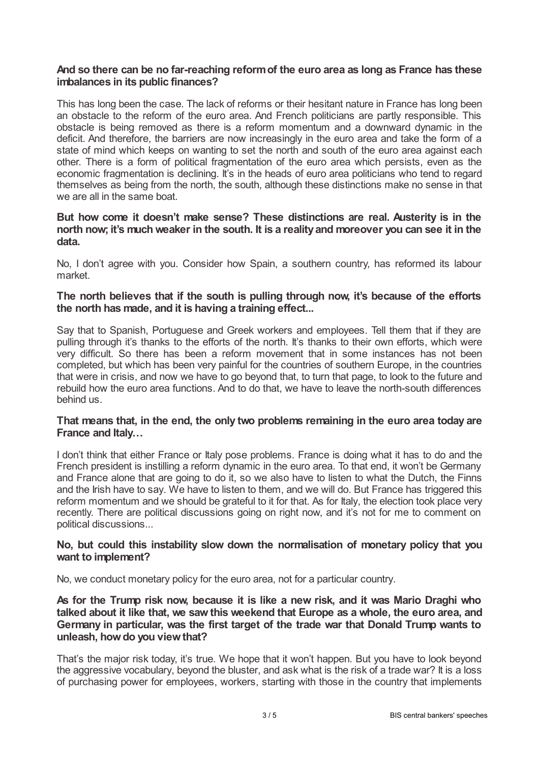## **And so there can be no far-reaching reformof the euro area as long as France has these imbalances in its public finances?**

This has long been the case. The lack of reforms or their hesitant nature in France has long been an obstacle to the reform of the euro area. And French politicians are partly responsible. This obstacle is being removed as there is a reform momentum and a downward dynamic in the deficit. And therefore, the barriers are now increasingly in the euro area and take the form of a state of mind which keeps on wanting to set the north and south of the euro area against each other. There is a form of political fragmentation of the euro area which persists, even as the economic fragmentation is declining. It's in the heads of euro area politicians who tend to regard themselves as being from the north, the south, although these distinctions make no sense in that we are all in the same boat.

## **But how come it doesn't make sense? These distinctions are real. Austerity is in the north now; it's much weaker in the south. It is a realityand moreover you can see it in the data.**

No, I don't agree with you. Consider how Spain, a southern country, has reformed its labour market.

## **The north believes that if the south is pulling through now, it's because of the efforts the north has made, and it is having a training effect...**

Say that to Spanish, Portuguese and Greek workers and employees. Tell them that if they are pulling through it's thanks to the efforts of the north. It's thanks to their own efforts, which were very difficult. So there has been a reform movement that in some instances has not been completed, but which has been very painful for the countries of southern Europe, in the countries that were in crisis, and now we have to go beyond that, to turn that page, to look to the future and rebuild how the euro area functions. And to do that, we have to leave the north-south differences behind us.

#### **That means that, in the end, the only two problems remaining in the euro area today are France and Italy…**

I don't think that either France or Italy pose problems. France is doing what it has to do and the French president is instilling a reform dynamic in the euro area. To that end, it won't be Germany and France alone that are going to do it, so we also have to listen to what the Dutch, the Finns and the Irish have to say. We have to listen to them, and we will do. But France has triggered this reform momentum and we should be grateful to it for that. As for Italy, the election took place very recently. There are political discussions going on right now, and it's not for me to comment on political discussions...

#### **No, but could this instability slow down the normalisation of monetary policy that you want to implement?**

No, we conduct monetary policy for the euro area, not for a particular country.

# **As for the Trump risk now, because it is like a new risk, and it was Mario Draghi who talked about it like that, we sawthis weekend that Europe as a whole, the euro area, and Germany in particular, was the first target of the trade war that Donald Trump wants to unleash, howdo you viewthat?**

That's the major risk today, it's true. We hope that it won't happen. But you have to look beyond the aggressive vocabulary, beyond the bluster, and ask what is the risk of a trade war? It is a loss of purchasing power for employees, workers, starting with those in the country that implements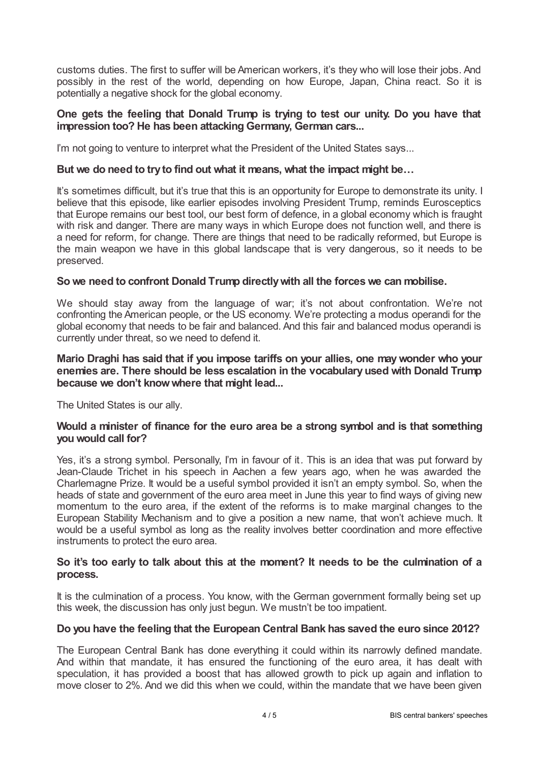customs duties. The first to suffer will be American workers, it's they who will lose their jobs. And possibly in the rest of the world, depending on how Europe, Japan, China react. So it is potentially a negative shock for the global economy.

## **One gets the feeling that Donald Trump is trying to test our unity. Do you have that impression too? He has been attacking Germany, German cars...**

I'm not going to venture to interpret what the President of the United States says...

#### **But we do need to tryto find out what it means, what the impact might be…**

It's sometimes difficult, but it's true that this is an opportunity for Europe to demonstrate its unity. I believe that this episode, like earlier episodes involving President Trump, reminds Eurosceptics that Europe remains our best tool, our best form of defence, in a global economy which is fraught with risk and danger. There are many ways in which Europe does not function well, and there is a need for reform, for change. There are things that need to be radically reformed, but Europe is the main weapon we have in this global landscape that is very dangerous, so it needs to be preserved.

#### **So we need to confront Donald Trump directlywith all the forceswe can mobilise.**

We should stay away from the language of war; it's not about confrontation. We're not confronting the American people, or the US economy. We're protecting a modus operandi for the global economy that needs to be fair and balanced. And this fair and balanced modus operandi is currently under threat, so we need to defend it.

#### **Mario Draghi has said that if you impose tariffs on your allies, one maywonder who your enemies are. There should be less escalation in the vocabularyused with Donald Trump because we don't knowwhere that might lead...**

The United States is our ally.

#### **Would a minister of finance for the euro area be a strong symbol and is that something you would call for?**

Yes, it's a strong symbol. Personally, I'm in favour of it*.* This is an idea that was put forward by Jean-Claude Trichet in his speech in Aachen a few years ago, when he was awarded the Charlemagne Prize. It would be a useful symbol provided it isn't an empty symbol. So, when the heads of state and government of the euro area meet in June this year to find ways of giving new momentum to the euro area, if the extent of the reforms is to make marginal changes to the European Stability Mechanism and to give a position a new name, that won't achieve much. It would be a useful symbol as long as the reality involves better coordination and more effective instruments to protect the euro area.

#### **So it's too early to talk about this at the moment? It needs to be the culmination of a process.**

It is the culmination of a process. You know, with the German government formally being set up this week, the discussion has only just begun. We mustn't be too impatient.

#### **Do you have the feeling that the European Central Bank has saved the euro since 2012?**

The European Central Bank has done everything it could within its narrowly defined mandate. And within that mandate, it has ensured the functioning of the euro area, it has dealt with speculation, it has provided a boost that has allowed growth to pick up again and inflation to move closer to 2%. And we did this when we could, within the mandate that we have been given